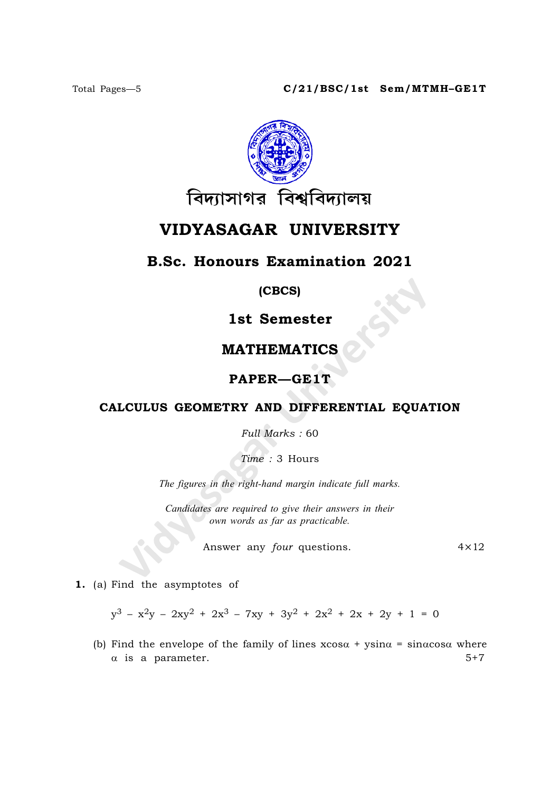

# VIDYASAGAR UNIVERSITY

## B.Sc. Honours Examination 2021

(CBCS)

1st Semester

## MATHEMATICS

#### PAPER—GE1T

#### CALCULUS GEOMETRY AND DIFFERENTIAL EQUATION

Full Marks : 60

Time : 3 Hours

The figures in the right-hand margin indicate full marks.

Candidates are required to give their answers in their own words as far as practicable.

Answer any *four* questions. 4×12

1. (a) Find the asymptotes of

 $y^3 - x^2y - 2xy^2 + 2x^3 - 7xy + 3y^2 + 2x^2 + 2x + 2y + 1 = 0$ 

(b) Find the envelope of the family of lines  $x\cos\alpha + y\sin\alpha = \sin\alpha\cos\alpha$  where  $\alpha$  is a parameter.  $5+7$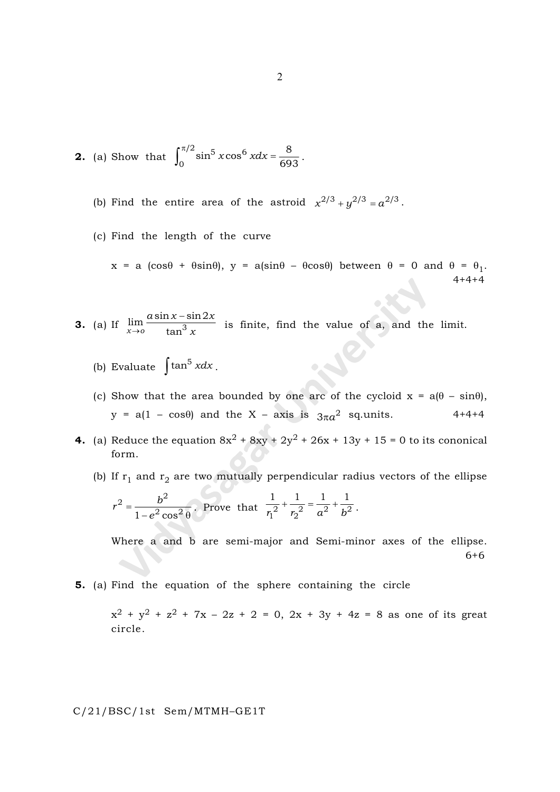**2.** (a) Show that 
$$
\int_0^{\pi/2} \sin^5 x \cos^6 x dx = \frac{8}{693}.
$$

(b) Find the entire area of the astroid  $x^{2/3} + y^{2/3} = a^{2/3}$ .

(c) Find the length of the curve

 $x = a (\cos\theta + \theta \sin\theta), y = a(\sin\theta - \theta \cos\theta)$  between  $\theta = 0$  and  $\theta = \theta_1$ . 4+4+4

- **3.** (a) If  $\lim_{x \to 0}$  $a \sin x - \sin 2x$  $\lim_{x\to 0} \frac{a \sin x - \sin 2}{\tan^3 x}$  $\rightarrow$ o tan is finite, find the value of a, and the limit.
	- (b) Evaluate  $\int \tan^5 x dx$ .
	- (c) Show that the area bounded by one arc of the cycloid  $x = a(\theta \sin\theta)$ ,  $y = a(1 - \cos\theta)$  and the X – axis is  $3\pi a^2$  sq.units. 4+4+4
- 4. (a) Reduce the equation  $8x^2 + 8xy + 2y^2 + 26x + 13y + 15 = 0$  to its cononical form.
	- (b) If  $\rm r_1$  and  $\rm r_2$  are two mutually perpendicular radius vectors of the ellipse

$$
r^2 = \frac{b^2}{1 - e^2 \cos^2 \theta}
$$
. Prove that  $\frac{1}{r_1^2} + \frac{1}{r_2^2} = \frac{1}{a^2} + \frac{1}{b^2}$ .

Where a and b are semi-major and Semi-minor axes of the ellipse. 6+6

5. (a) Find the equation of the sphere containing the circle

 $x^2 + y^2 + z^2 + 7x - 2z + 2 = 0, 2x + 3y + 4z = 8$  as one of its great circle.

C/21/BSC/1st Sem/MTMH–GE1T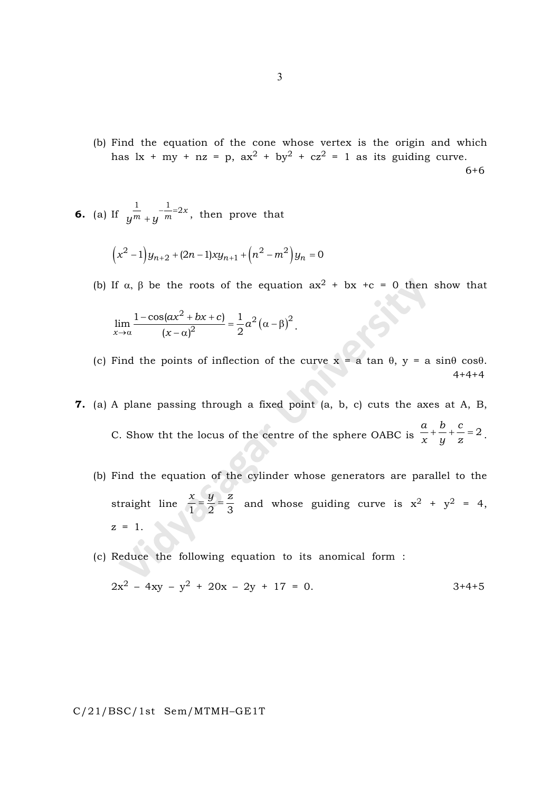(b) Find the equation of the cone whose vertex is the origin and which has  $\int x + \mu y + nz = p$ ,  $\int ax^2 + by^2 + cz^2 = 1$  as its guiding curve. 6+6

**6.** (a) If 
$$
\frac{1}{y^m + y} - \frac{1}{m} = 2x
$$
, then prove that

$$
(x^2 - 1) y_{n+2} + (2n - 1)xy_{n+1} + (n^2 - m^2) y_n = 0
$$

(b) If  $\alpha$ ,  $\beta$  be the roots of the equation  $ax^2 + bx + c = 0$  then show that

$$
\lim_{x \to \alpha} \frac{1 - \cos(ax^2 + bx + c)}{(x - \alpha)^2} = \frac{1}{2}a^2(\alpha - \beta)^2.
$$

- (c) Find the points of inflection of the curve  $x = a \tan \theta$ ,  $y = a \sin \theta \cos \theta$ .  $4+4+4$
- 7. (a) A plane passing through a fixed point (a, b, c) cuts the axes at A, B, C. Show tht the locus of the centre of the sphere OABC is  $a \quad b \quad c$  $\frac{x}{x} + \frac{b}{y} + \frac{c}{z} = 2$ .
	- (b) Find the equation of the cylinder whose generators are parallel to the straight line  $x \quad y \quad z$  $\frac{x}{1} = \frac{9}{2} = \frac{2}{3}$  and whose guiding curve is  $x^2 + y^2 = 4$ ,  $z = 1$ .
	- (c) Reduce the following equation to its anomical form :

$$
2x^2 - 4xy - y^2 + 20x - 2y + 17 = 0.
$$
 3+4+5

C/21/BSC/1st Sem/MTMH–GE1T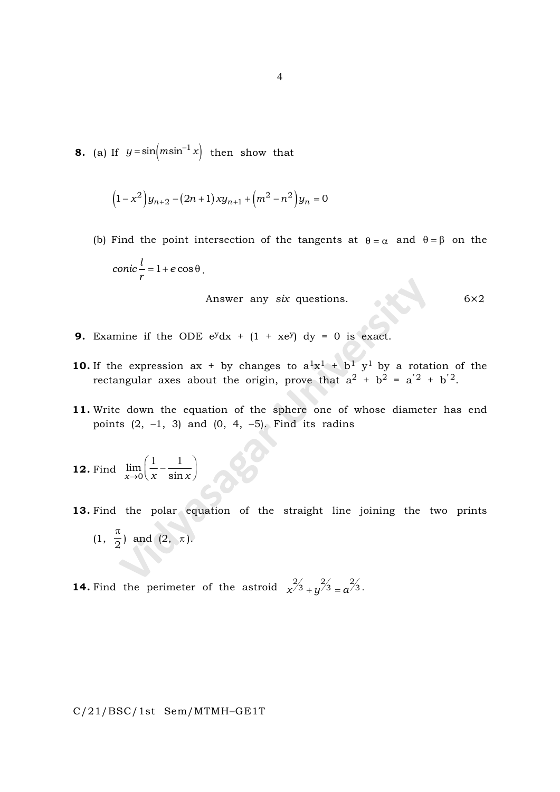**8.** (a) If  $y = \sin(m \sin^{-1} x)$  then show that

$$
(1 - x2)yn+2 - (2n + 1)xyn+1 + (m2 – n2)yn = 0
$$

(b) Find the point intersection of the tangents at  $\theta = \alpha$  and  $\theta = \beta$  on the  $conic$ <sup> $l$ </sup> = 1 + e  $\frac{c}{r} = 1 + e \cos \theta$ .

Answer any six questions. 6 $\times 2$ 

- **9.** Examine if the ODE  $e^{y}dx + (1 + xe^{y}) dy = 0$  is exact.
- **10.** If the expression ax + by changes to  $a^1x^1 + b^1y^1$  by a rotation of the rectangular axes about the origin, prove that  $a^2 + b^2 = a^2 + b^2$ .
- 11. Write down the equation of the sphere one of whose diameter has end points  $(2, -1, 3)$  and  $(0, 4, -5)$ . Find its radins
- **12.** Find  $\lim_{x\to 0} \left( \frac{-\infty}{x} \right)$  $\lim \left( \frac{1}{1} - \frac{1}{1} \right)$  $\rightarrow 0 \ x \ \ \sin$  $\left(\frac{1}{x} - \frac{1}{\sin x}\right)$
- 13. Find the polar equation of the straight line joining the two prints  $(1, \frac{1}{2})$  $\frac{\pi}{2}$  and (2,  $\pi$ ).

**14.** Find the perimeter of the astroid  $x^2/3 + y^2/3 = a^2/3$ .

C/21/BSC/1st Sem/MTMH–GE1T